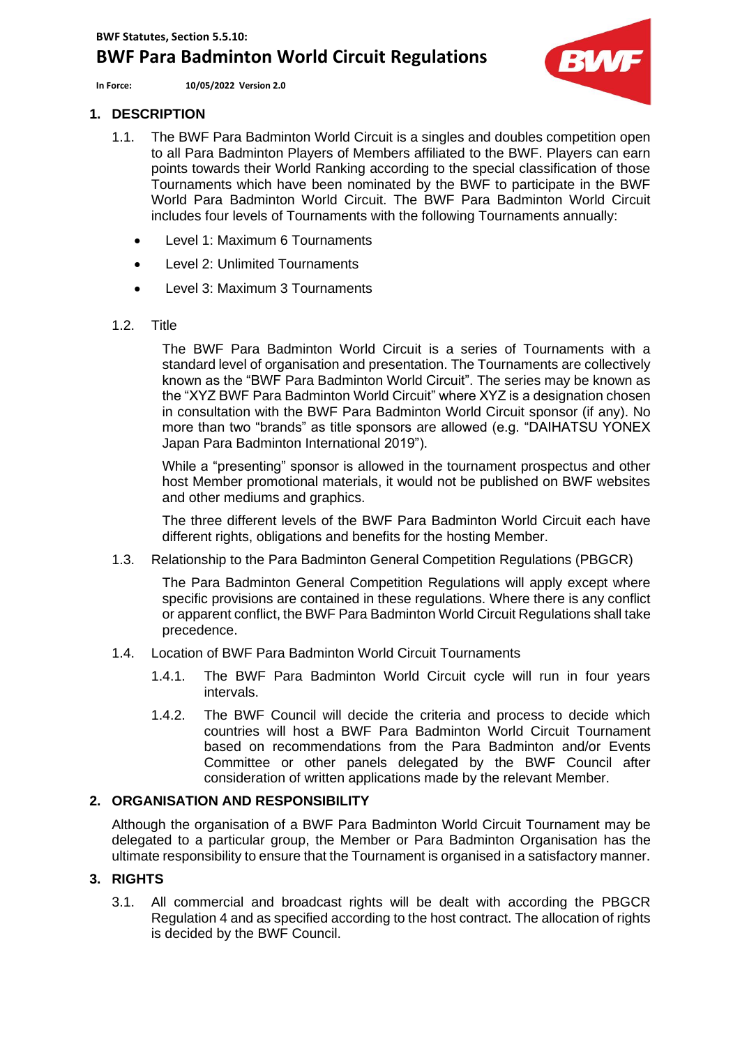**In Force: 10/05/2022 Version 2.0**



## **1. DESCRIPTION**

- 1.1. The BWF Para Badminton World Circuit is a singles and doubles competition open to all Para Badminton Players of Members affiliated to the BWF. Players can earn points towards their World Ranking according to the special classification of those Tournaments which have been nominated by the BWF to participate in the BWF World Para Badminton World Circuit. The BWF Para Badminton World Circuit includes four levels of Tournaments with the following Tournaments annually:
	- Level 1: Maximum 6 Tournaments
	- Level 2: Unlimited Tournaments
	- Level 3: Maximum 3 Tournaments
- 1.2. Title

The BWF Para Badminton World Circuit is a series of Tournaments with a standard level of organisation and presentation. The Tournaments are collectively known as the "BWF Para Badminton World Circuit". The series may be known as the "XYZ BWF Para Badminton World Circuit" where XYZ is a designation chosen in consultation with the BWF Para Badminton World Circuit sponsor (if any). No more than two "brands" as title sponsors are allowed (e.g. "DAIHATSU YONEX Japan Para Badminton International 2019").

While a "presenting" sponsor is allowed in the tournament prospectus and other host Member promotional materials, it would not be published on BWF websites and other mediums and graphics.

The three different levels of the BWF Para Badminton World Circuit each have different rights, obligations and benefits for the hosting Member.

1.3. Relationship to the Para Badminton General Competition Regulations (PBGCR)

The Para Badminton General Competition Regulations will apply except where specific provisions are contained in these regulations. Where there is any conflict or apparent conflict, the BWF Para Badminton World Circuit Regulations shall take precedence.

- 1.4. Location of BWF Para Badminton World Circuit Tournaments
	- 1.4.1. The BWF Para Badminton World Circuit cycle will run in four years intervals.
	- 1.4.2. The BWF Council will decide the criteria and process to decide which countries will host a BWF Para Badminton World Circuit Tournament based on recommendations from the Para Badminton and/or Events Committee or other panels delegated by the BWF Council after consideration of written applications made by the relevant Member.

# **2. ORGANISATION AND RESPONSIBILITY**

Although the organisation of a BWF Para Badminton World Circuit Tournament may be delegated to a particular group, the Member or Para Badminton Organisation has the ultimate responsibility to ensure that the Tournament is organised in a satisfactory manner.

## **3. RIGHTS**

3.1. All commercial and broadcast rights will be dealt with according the PBGCR Regulation 4 and as specified according to the host contract. The allocation of rights is decided by the BWF Council.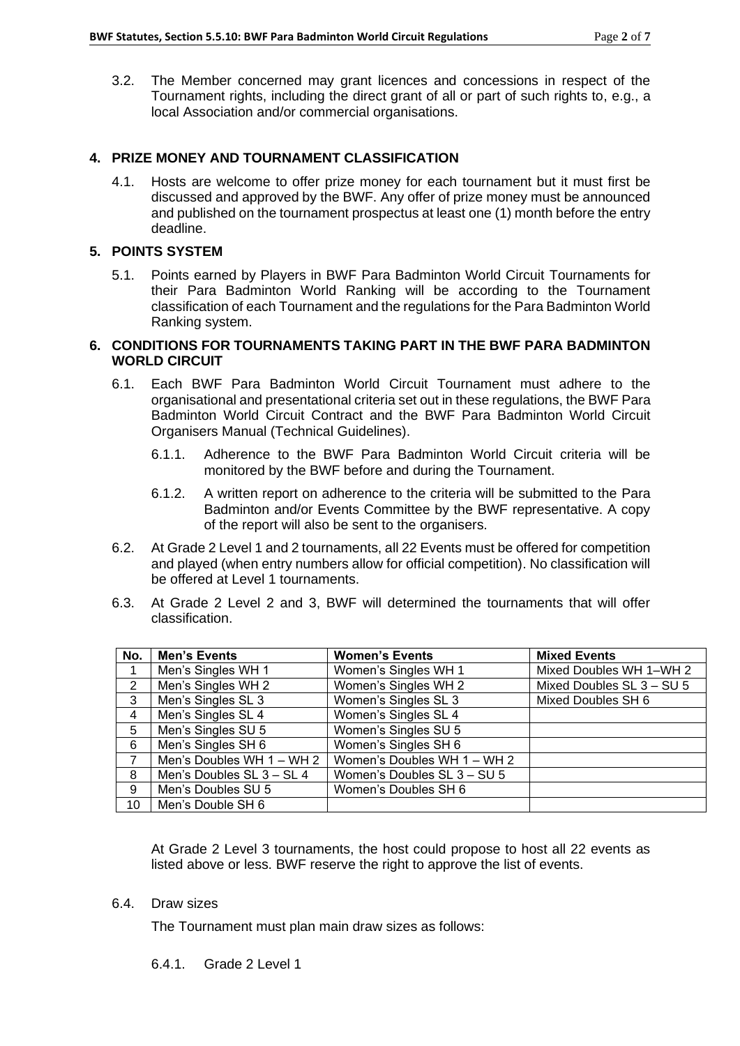3.2. The Member concerned may grant licences and concessions in respect of the Tournament rights, including the direct grant of all or part of such rights to, e.g., a local Association and/or commercial organisations.

# **4. PRIZE MONEY AND TOURNAMENT CLASSIFICATION**

4.1. Hosts are welcome to offer prize money for each tournament but it must first be discussed and approved by the BWF. Any offer of prize money must be announced and published on the tournament prospectus at least one (1) month before the entry deadline.

### **5. POINTS SYSTEM**

5.1. Points earned by Players in BWF Para Badminton World Circuit Tournaments for their Para Badminton World Ranking will be according to the Tournament classification of each Tournament and the regulations for the Para Badminton World Ranking system.

### **6. CONDITIONS FOR TOURNAMENTS TAKING PART IN THE BWF PARA BADMINTON WORLD CIRCUIT**

- 6.1. Each BWF Para Badminton World Circuit Tournament must adhere to the organisational and presentational criteria set out in these regulations, the BWF Para Badminton World Circuit Contract and the BWF Para Badminton World Circuit Organisers Manual (Technical Guidelines).
	- 6.1.1. Adherence to the BWF Para Badminton World Circuit criteria will be monitored by the BWF before and during the Tournament.
	- 6.1.2. A written report on adherence to the criteria will be submitted to the Para Badminton and/or Events Committee by the BWF representative. A copy of the report will also be sent to the organisers.
- 6.2. At Grade 2 Level 1 and 2 tournaments, all 22 Events must be offered for competition and played (when entry numbers allow for official competition). No classification will be offered at Level 1 tournaments.
- 6.3. At Grade 2 Level 2 and 3, BWF will determined the tournaments that will offer classification.

| No.            | <b>Men's Events</b>       | <b>Women's Events</b>       | <b>Mixed Events</b>       |
|----------------|---------------------------|-----------------------------|---------------------------|
|                | Men's Singles WH 1        | Women's Singles WH 1        | Mixed Doubles WH 1-WH 2   |
| 2              | Men's Singles WH 2        | Women's Singles WH 2        | Mixed Doubles SL 3 - SU 5 |
| 3              | Men's Singles SL 3        | Women's Singles SL 3        | Mixed Doubles SH 6        |
| $\overline{4}$ | Men's Singles SL 4        | Women's Singles SL 4        |                           |
| 5              | Men's Singles SU 5        | Women's Singles SU 5        |                           |
| 6              | Men's Singles SH 6        | Women's Singles SH 6        |                           |
| 7              | Men's Doubles WH 1 - WH 2 | Women's Doubles WH 1 - WH 2 |                           |
| 8              | Men's Doubles SL 3 - SL 4 | Women's Doubles SL 3 - SU 5 |                           |
| 9              | Men's Doubles SU 5        | Women's Doubles SH 6        |                           |
| 10             | Men's Double SH 6         |                             |                           |

At Grade 2 Level 3 tournaments, the host could propose to host all 22 events as listed above or less. BWF reserve the right to approve the list of events.

### 6.4. Draw sizes

The Tournament must plan main draw sizes as follows:

6.4.1. Grade 2 Level 1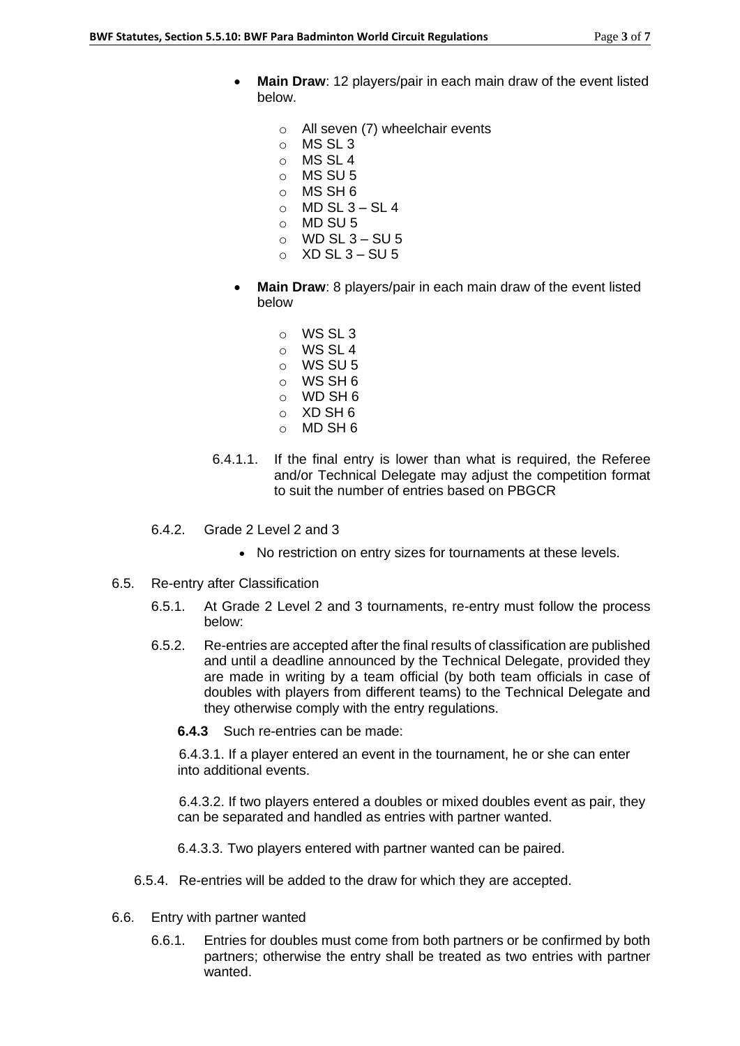- **Main Draw**: 12 players/pair in each main draw of the event listed below.
	- o All seven (7) wheelchair events
	- o MS SL 3
	- o MS SL 4
	- o MS SU 5
	- o MS SH 6
	- $\circ$  MD SL 3 SL 4
	- o MD SU 5
	- $o$  WD SL 3 SU 5
	- $\circ$  XD SL 3 SU 5
- **Main Draw**: 8 players/pair in each main draw of the event listed below
	- o WS SL 3 o WS SL 4 o WS SU 5 o WS SH 6 o WD SH 6 o XD SH 6 o MD SH 6
- 6.4.1.1. If the final entry is lower than what is required, the Referee and/or Technical Delegate may adjust the competition format to suit the number of entries based on PBGCR
- 6.4.2. Grade 2 Level 2 and 3
	- No restriction on entry sizes for tournaments at these levels.
- 6.5. Re-entry after Classification
	- 6.5.1. At Grade 2 Level 2 and 3 tournaments, re-entry must follow the process below:
	- 6.5.2. Re-entries are accepted after the final results of classification are published and until a deadline announced by the Technical Delegate, provided they are made in writing by a team official (by both team officials in case of doubles with players from different teams) to the Technical Delegate and they otherwise comply with the entry regulations.
		- **6.4.3** Such re-entries can be made:

6.4.3.1. If a player entered an event in the tournament, he or she can enter into additional events.

6.4.3.2. If two players entered a doubles or mixed doubles event as pair, they can be separated and handled as entries with partner wanted.

- 6.4.3.3. Two players entered with partner wanted can be paired.
- 6.5.4. Re-entries will be added to the draw for which they are accepted.
- 6.6. Entry with partner wanted
	- 6.6.1. Entries for doubles must come from both partners or be confirmed by both partners; otherwise the entry shall be treated as two entries with partner wanted.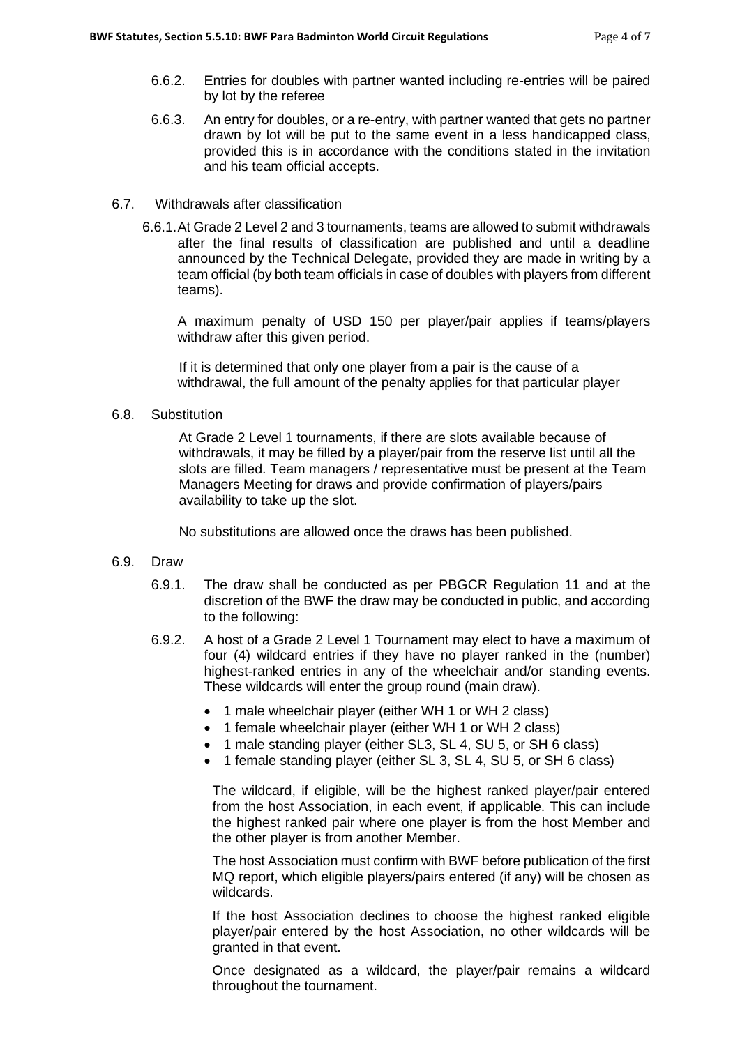- 6.6.2. Entries for doubles with partner wanted including re-entries will be paired by lot by the referee
- 6.6.3. An entry for doubles, or a re-entry, with partner wanted that gets no partner drawn by lot will be put to the same event in a less handicapped class, provided this is in accordance with the conditions stated in the invitation and his team official accepts.

### 6.7. Withdrawals after classification

6.6.1.At Grade 2 Level 2 and 3 tournaments, teams are allowed to submit withdrawals after the final results of classification are published and until a deadline announced by the Technical Delegate, provided they are made in writing by a team official (by both team officials in case of doubles with players from different teams).

A maximum penalty of USD 150 per player/pair applies if teams/players withdraw after this given period.

If it is determined that only one player from a pair is the cause of a withdrawal, the full amount of the penalty applies for that particular player

#### 6.8. Substitution

At Grade 2 Level 1 tournaments, if there are slots available because of withdrawals, it may be filled by a player/pair from the reserve list until all the slots are filled. Team managers / representative must be present at the Team Managers Meeting for draws and provide confirmation of players/pairs availability to take up the slot.

No substitutions are allowed once the draws has been published.

### 6.9. Draw

- 6.9.1. The draw shall be conducted as per PBGCR Regulation 11 and at the discretion of the BWF the draw may be conducted in public, and according to the following:
- 6.9.2. A host of a Grade 2 Level 1 Tournament may elect to have a maximum of four (4) wildcard entries if they have no player ranked in the (number) highest-ranked entries in any of the wheelchair and/or standing events. These wildcards will enter the group round (main draw).
	- 1 male wheelchair player (either WH 1 or WH 2 class)
	- 1 female wheelchair player (either WH 1 or WH 2 class)
	- 1 male standing player (either SL3, SL 4, SU 5, or SH 6 class)
	- 1 female standing player (either SL 3, SL 4, SU 5, or SH 6 class)

The wildcard, if eligible, will be the highest ranked player/pair entered from the host Association, in each event, if applicable. This can include the highest ranked pair where one player is from the host Member and the other player is from another Member.

The host Association must confirm with BWF before publication of the first MQ report, which eligible players/pairs entered (if any) will be chosen as wildcards.

If the host Association declines to choose the highest ranked eligible player/pair entered by the host Association, no other wildcards will be granted in that event.

Once designated as a wildcard, the player/pair remains a wildcard throughout the tournament.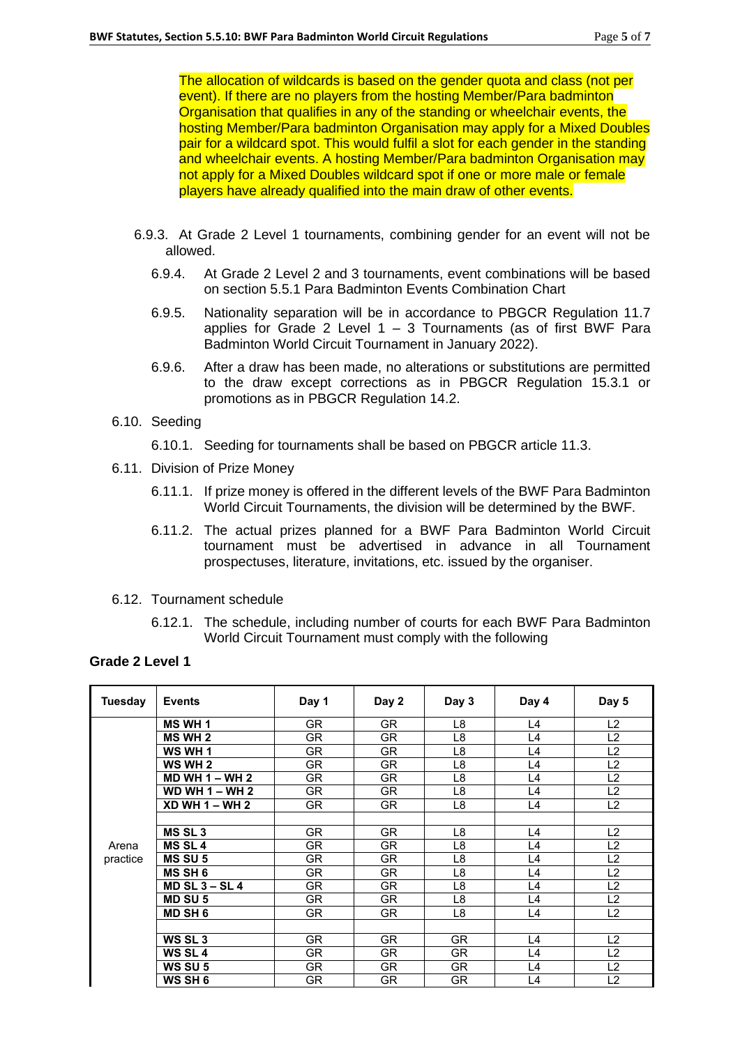The allocation of wildcards is based on the gender quota and class (not per event). If there are no players from the hosting Member/Para badminton Organisation that qualifies in any of the standing or wheelchair events, the hosting Member/Para badminton Organisation may apply for a Mixed Doubles pair for a wildcard spot. This would fulfil a slot for each gender in the standing and wheelchair events. A hosting Member/Para badminton Organisation may not apply for a Mixed Doubles wildcard spot if one or more male or female players have already qualified into the main draw of other events.

- 6.9.3. At Grade 2 Level 1 tournaments, combining gender for an event will not be allowed.
	- 6.9.4. At Grade 2 Level 2 and 3 tournaments, event combinations will be based on section 5.5.1 Para Badminton Events Combination Chart
	- 6.9.5. Nationality separation will be in accordance to PBGCR Regulation 11.7 applies for Grade 2 Level  $1 - 3$  Tournaments (as of first BWF Para Badminton World Circuit Tournament in January 2022).
	- 6.9.6. After a draw has been made, no alterations or substitutions are permitted to the draw except corrections as in PBGCR Regulation 15.3.1 or promotions as in PBGCR Regulation 14.2.
- 6.10. Seeding
	- 6.10.1. Seeding for tournaments shall be based on PBGCR article 11.3.
- 6.11. Division of Prize Money
	- 6.11.1. If prize money is offered in the different levels of the BWF Para Badminton World Circuit Tournaments, the division will be determined by the BWF.
	- 6.11.2. The actual prizes planned for a BWF Para Badminton World Circuit tournament must be advertised in advance in all Tournament prospectuses, literature, invitations, etc. issued by the organiser.
- 6.12. Tournament schedule
	- 6.12.1. The schedule, including number of courts for each BWF Para Badminton World Circuit Tournament must comply with the following

### **Grade 2 Level 1**

| Tuesday  | <b>Events</b>      | Day 1     | Day 2     | Day 3          | Day 4 | Day 5          |
|----------|--------------------|-----------|-----------|----------------|-------|----------------|
|          | <b>MS WH 1</b>     | <b>GR</b> | <b>GR</b> | L8             | L4    | L <sub>2</sub> |
|          | <b>MS WH 2</b>     | <b>GR</b> | <b>GR</b> | L8             | L4    | L <sub>2</sub> |
|          | WS WH 1            | <b>GR</b> | <b>GR</b> | L8             | L4    | L2             |
|          | WS WH 2            | GR        | GR.       | L8             | L4    | L <sub>2</sub> |
|          | $MD WH 1 - WH 2$   | GR        | GR.       | L8             | L4    | L2             |
|          | WD WH $1 - WH$ 2   | GR.       | GR.       | L8             | L4    | L2             |
|          | $XD WH 1 - WH 2$   | <b>GR</b> | <b>GR</b> | L <sub>8</sub> | L4    | L2             |
|          |                    |           |           |                |       |                |
|          | MS <sub>SL3</sub>  | <b>GR</b> | <b>GR</b> | L8             | L4    | L2             |
| Arena    | <b>MS SL4</b>      | GR.       | GR.       | L8             | L4    | L <sub>2</sub> |
| practice | <b>MS SU 5</b>     | GR.       | GR.       | L8             | L4    | L <sub>2</sub> |
|          | <b>MS SH 6</b>     | <b>GR</b> | GR.       | L8             | L4    | L2             |
|          | MD $SL_3 - SL_4$   | <b>GR</b> | <b>GR</b> | L <sub>8</sub> | L4    | L2             |
|          | <b>MD SU 5</b>     | GR        | GR        | L8             | L4    | L <sub>2</sub> |
|          | <b>MD SH 6</b>     | <b>GR</b> | GR.       | L8             | L4    | L <sub>2</sub> |
|          |                    |           |           |                |       |                |
|          | WS SL <sub>3</sub> | GR        | <b>GR</b> | <b>GR</b>      | L4    | L <sub>2</sub> |
|          | WS SL <sub>4</sub> | GR        | GR.       | GR             | L4    | L <sub>2</sub> |
|          | WS SU 5            | <b>GR</b> | <b>GR</b> | <b>GR</b>      | L4    | L2             |
|          | WS SH 6            | GR        | <b>GR</b> | GR             | L4    | L2             |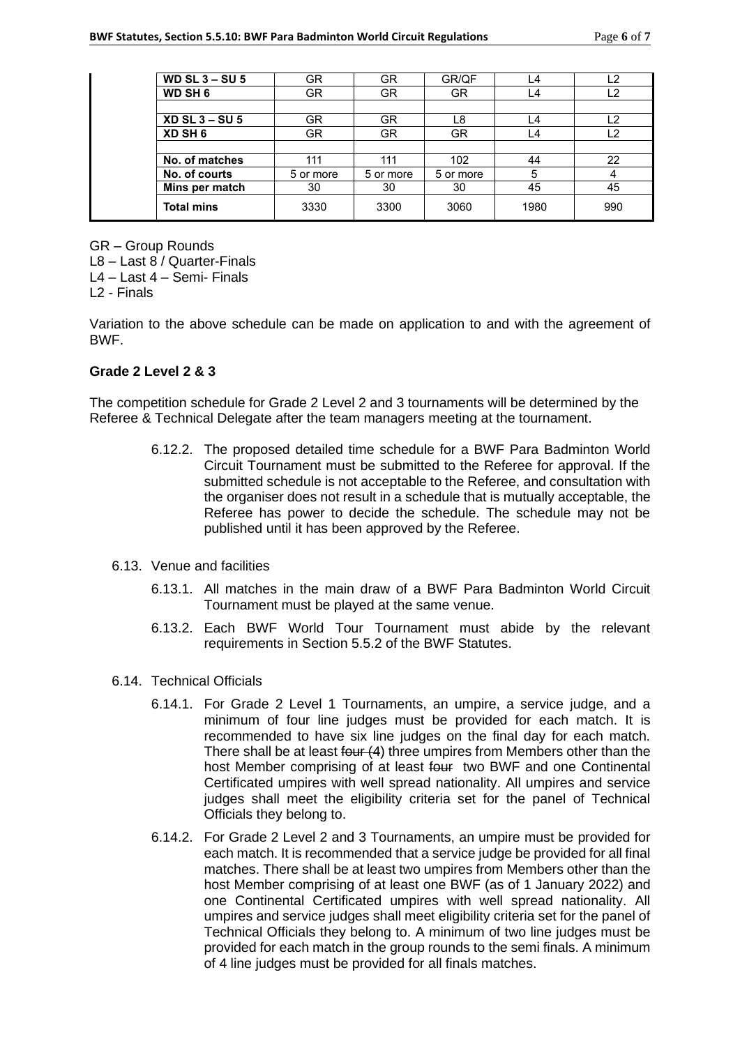| WD SL $3 - SU$ 5  | GR        | <b>GR</b> | GR/QF     |      | L2  |
|-------------------|-----------|-----------|-----------|------|-----|
| <b>WD SH 6</b>    | GR.       | GR.       | <b>GR</b> |      | 12  |
|                   |           |           |           |      |     |
| $XD$ SL 3 – SU 5  | <b>GR</b> | <b>GR</b> | L8        | ∟4   | L2  |
| XD SH 6           | GR.       | GR.       | GR        | L4   | L2  |
|                   |           |           |           |      |     |
| No. of matches    | 111       | 111       | 102       | 44   | 22  |
| No. of courts     | 5 or more | 5 or more | 5 or more | 5    |     |
| Mins per match    | 30        | 30        | 30        | 45   | 45  |
| <b>Total mins</b> | 3330      | 3300      | 3060      | 1980 | 990 |

GR – Group Rounds

L8 – Last 8 / Quarter-Finals

L4 – Last 4 – Semi- Finals

L2 - Finals

Variation to the above schedule can be made on application to and with the agreement of BWF.

### **Grade 2 Level 2 & 3**

The competition schedule for Grade 2 Level 2 and 3 tournaments will be determined by the Referee & Technical Delegate after the team managers meeting at the tournament.

- 6.12.2. The proposed detailed time schedule for a BWF Para Badminton World Circuit Tournament must be submitted to the Referee for approval. If the submitted schedule is not acceptable to the Referee, and consultation with the organiser does not result in a schedule that is mutually acceptable, the Referee has power to decide the schedule. The schedule may not be published until it has been approved by the Referee.
- 6.13. Venue and facilities
	- 6.13.1. All matches in the main draw of a BWF Para Badminton World Circuit Tournament must be played at the same venue.
	- 6.13.2. Each BWF World Tour Tournament must abide by the relevant requirements in Section 5.5.2 of the BWF Statutes.
- 6.14. Technical Officials
	- 6.14.1. For Grade 2 Level 1 Tournaments, an umpire, a service judge, and a minimum of four line judges must be provided for each match. It is recommended to have six line judges on the final day for each match. There shall be at least four (4) three umpires from Members other than the host Member comprising of at least four two BWF and one Continental Certificated umpires with well spread nationality. All umpires and service judges shall meet the eligibility criteria set for the panel of Technical Officials they belong to.
	- 6.14.2. For Grade 2 Level 2 and 3 Tournaments, an umpire must be provided for each match. It is recommended that a service judge be provided for all final matches. There shall be at least two umpires from Members other than the host Member comprising of at least one BWF (as of 1 January 2022) and one Continental Certificated umpires with well spread nationality. All umpires and service judges shall meet eligibility criteria set for the panel of Technical Officials they belong to. A minimum of two line judges must be provided for each match in the group rounds to the semi finals. A minimum of 4 line judges must be provided for all finals matches.